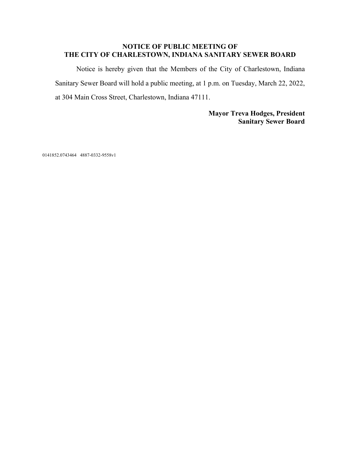#### **NOTICE OF PUBLIC MEETING OF THE CITY OF CHARLESTOWN, INDIANA SANITARY SEWER BOARD**

Notice is hereby given that the Members of the City of Charlestown, Indiana Sanitary Sewer Board will hold a public meeting, at 1 p.m. on Tuesday, March 22, 2022, at 304 Main Cross Street, Charlestown, Indiana 47111.

> **Mayor Treva Hodges, President Sanitary Sewer Board**

0141852.0743464 4887-0332-9558v1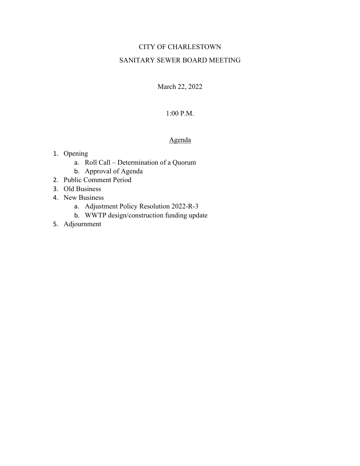## CITY OF CHARLESTOWN

#### SANITARY SEWER BOARD MEETING

March 22, 2022

#### 1:00 P.M.

### Agenda

- 1. Opening
	- a. Roll Call Determination of a Quorum
	- b. Approval of Agenda
- 2. Public Comment Period
- 3. Old Business
- 4. New Business
	- a. Adjustment Policy Resolution 2022-R-3
	- b. WWTP design/construction funding update
- 5. Adjournment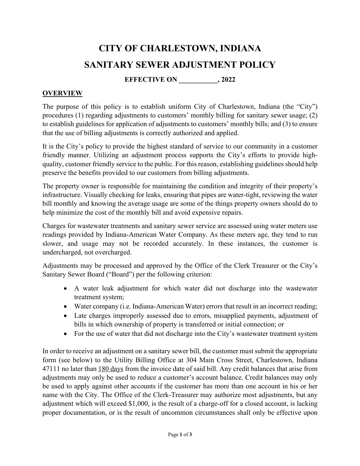# **CITY OF CHARLESTOWN, INDIANA SANITARY SEWER ADJUSTMENT POLICY**

# **EFFECTIVE ON** , 2022

## **OVERVIEW**

The purpose of this policy is to establish uniform City of Charlestown, Indiana (the "City") procedures (1) regarding adjustments to customers' monthly billing for sanitary sewer usage; (2) to establish guidelines for application of adjustments to customers' monthly bills; and (3) to ensure that the use of billing adjustments is correctly authorized and applied.

It is the City's policy to provide the highest standard of service to our community in a customer friendly manner. Utilizing an adjustment process supports the City's efforts to provide highquality, customer friendly service to the public. For this reason, establishing guidelines should help preserve the benefits provided to our customers from billing adjustments.

The property owner is responsible for maintaining the condition and integrity of their property's infrastructure. Visually checking for leaks, ensuring that pipes are water-tight, reviewing the water bill monthly and knowing the average usage are some of the things property owners should do to help minimize the cost of the monthly bill and avoid expensive repairs.

Charges for wastewater treatments and sanitary sewer service are assessed using water meters use readings provided by Indiana-American Water Company. As these meters age, they tend to run slower, and usage may not be recorded accurately. In these instances, the customer is undercharged, not overcharged.

Adjustments may be processed and approved by the Office of the Clerk Treasurer or the City's Sanitary Sewer Board ("Board") per the following criterion:

- A water leak adjustment for which water did not discharge into the wastewater treatment system;
- Water company (i.e. Indiana-American Water) errors that result in an incorrect reading;
- Late charges improperly assessed due to errors, misapplied payments, adjustment of bills in which ownership of property is transferred or initial connection; or
- For the use of water that did not discharge into the City's wastewater treatment system

In order to receive an adjustment on a sanitary sewer bill, the customer must submit the appropriate form (see below) to the Utility Billing Office at 304 Main Cross Street, Charlestown, Indiana 47111 no later than 180 days from the invoice date of said bill. Any credit balances that arise from adjustments may only be used to reduce a customer's account balance. Credit balances may only be used to apply against other accounts if the customer has more than one account in his or her name with the City. The Office of the Clerk-Treasurer may authorize most adjustments, but any adjustment which will exceed \$1,000, is the result of a charge-off for a closed account, is lacking proper documentation, or is the result of uncommon circumstances shall only be effective upon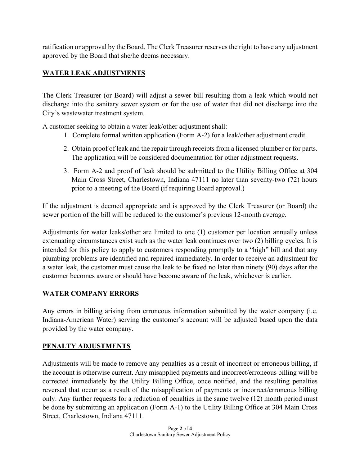ratification or approval by the Board. The Clerk Treasurer reserves the right to have any adjustment approved by the Board that she/he deems necessary.

# **WATER LEAK ADJUSTMENTS**

The Clerk Treasurer (or Board) will adjust a sewer bill resulting from a leak which would not discharge into the sanitary sewer system or for the use of water that did not discharge into the City's wastewater treatment system.

A customer seeking to obtain a water leak/other adjustment shall:

- 1. Complete formal written application (Form A-2) for a leak/other adjustment credit.
- 2. Obtain proof of leak and the repair through receipts from a licensed plumber or for parts. The application will be considered documentation for other adjustment requests.
- 3. Form A-2 and proof of leak should be submitted to the Utility Billing Office at 304 Main Cross Street, Charlestown, Indiana 47111 no later than seventy-two (72) hours prior to a meeting of the Board (if requiring Board approval.)

If the adjustment is deemed appropriate and is approved by the Clerk Treasurer (or Board) the sewer portion of the bill will be reduced to the customer's previous 12-month average.

Adjustments for water leaks/other are limited to one (1) customer per location annually unless extenuating circumstances exist such as the water leak continues over two (2) billing cycles. It is intended for this policy to apply to customers responding promptly to a "high" bill and that any plumbing problems are identified and repaired immediately. In order to receive an adjustment for a water leak, the customer must cause the leak to be fixed no later than ninety (90) days after the customer becomes aware or should have become aware of the leak, whichever is earlier.

## **WATER COMPANY ERRORS**

Any errors in billing arising from erroneous information submitted by the water company (i.e. Indiana-American Water) serving the customer's account will be adjusted based upon the data provided by the water company.

## **PENALTY ADJUSTMENTS**

Adjustments will be made to remove any penalties as a result of incorrect or erroneous billing, if the account is otherwise current. Any misapplied payments and incorrect/erroneous billing will be corrected immediately by the Utility Billing Office, once notified, and the resulting penalties reversed that occur as a result of the misapplication of payments or incorrect/erroneous billing only. Any further requests for a reduction of penalties in the same twelve (12) month period must be done by submitting an application (Form A-1) to the Utility Billing Office at 304 Main Cross Street, Charlestown, Indiana 47111.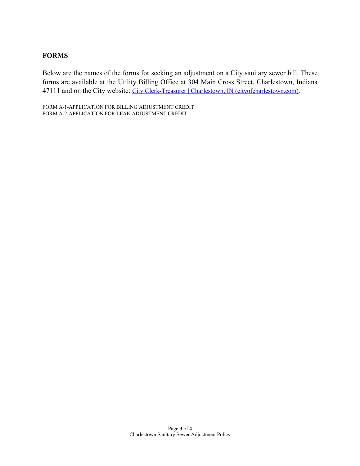## **FORMS**

Below are the names of the forms for seeking an adjustment on a City sanitary sewer bill. These forms are available at the Utility Billing Office at 304 Main Cross Street, Charlestown, Indiana 47111 and on the City website: City Clerk-Treasurer | Charlestown, IN (cityofcharlestown.com).

FORM A-1-APPLICATION FOR BILLING ADJUSTMENT CREDIT FORM A-2-APPLICATION FOR LEAK ADJUSTMENT CREDIT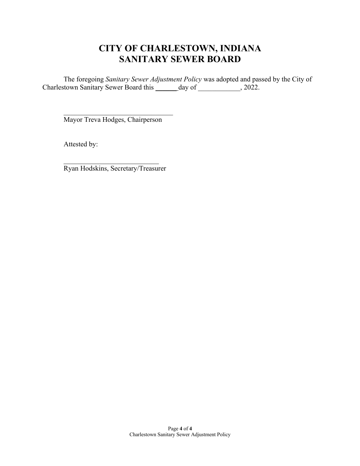# **CITY OF CHARLESTOWN, INDIANA SANITARY SEWER BOARD**

The foregoing *Sanitary Sewer Adjustment Policy* was adopted and passed by the City of Charlestown Sanitary Sewer Board this \_\_\_\_\_\_ day of \_\_\_\_\_\_\_\_\_\_, 2022.

Mayor Treva Hodges, Chairperson

Attested by:

Ryan Hodskins, Secretary/Treasurer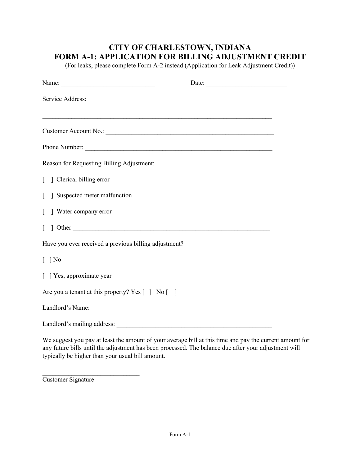# **CITY OF CHARLESTOWN, INDIANA FORM A-1: APPLICATION FOR BILLING ADJUSTMENT CREDIT**

(For leaks, please complete Form A-2 instead (Application for Leak Adjustment Credit))

| Name:                                                                         |  |
|-------------------------------------------------------------------------------|--|
| Service Address:                                                              |  |
|                                                                               |  |
|                                                                               |  |
|                                                                               |  |
| Reason for Requesting Billing Adjustment:                                     |  |
| [ ] Clerical billing error                                                    |  |
| ] Suspected meter malfunction                                                 |  |
| ] Water company error<br>$\mathbf{L}$                                         |  |
|                                                                               |  |
| Have you ever received a previous billing adjustment?                         |  |
| $\lceil \ \rceil$ No                                                          |  |
|                                                                               |  |
| Are you a tenant at this property? Yes $\lceil \ \rceil$ No $\lceil \ \rceil$ |  |
|                                                                               |  |
| Landlord's mailing address:                                                   |  |

We suggest you pay at least the amount of your average bill at this time and pay the current amount for any future bills until the adjustment has been processed. The balance due after your adjustment will typically be higher than your usual bill amount.

Customer Signature

 $\mathcal{L}_\text{max}$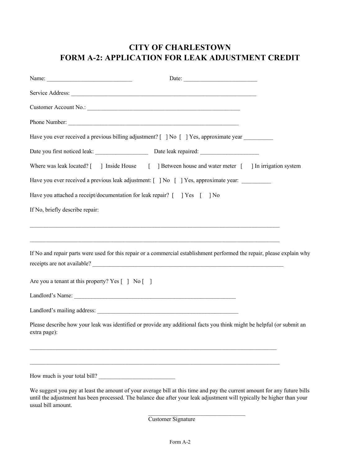# **CITY OF CHARLESTOWN FORM A-2: APPLICATION FOR LEAK ADJUSTMENT CREDIT**

|                                                   | Have you ever received a previous billing adjustment? [ ] No [ ] Yes, approximate year _________                         |  |
|---------------------------------------------------|--------------------------------------------------------------------------------------------------------------------------|--|
|                                                   |                                                                                                                          |  |
|                                                   | Where was leak located? [ ] Inside House [ ] Between house and water meter [ ] In irrigation system                      |  |
|                                                   | Have you ever received a previous leak adjustment: [ ] No [ ] Yes, approximate year: _________                           |  |
|                                                   | Have you attached a receipt/documentation for leak repair? [ ] Yes [ ] No                                                |  |
| If No, briefly describe repair:                   |                                                                                                                          |  |
|                                                   | If No and repair parts were used for this repair or a commercial establishment performed the repair, please explain why  |  |
| Are you a tenant at this property? Yes [ ] No [ ] |                                                                                                                          |  |
|                                                   |                                                                                                                          |  |
|                                                   |                                                                                                                          |  |
| extra page):                                      | Please describe how your leak was identified or provide any additional facts you think might be helpful (or submit an    |  |
| How much is your total bill?                      |                                                                                                                          |  |
|                                                   | We suggest you pay at least the amount of your average bill at this time and pay the current amount for any future bills |  |

until the adjustment has been processed. The balance due after your leak adjustment will typically be higher than your usual bill amount.

Customer Signature

 $\mathcal{L}_\text{max}$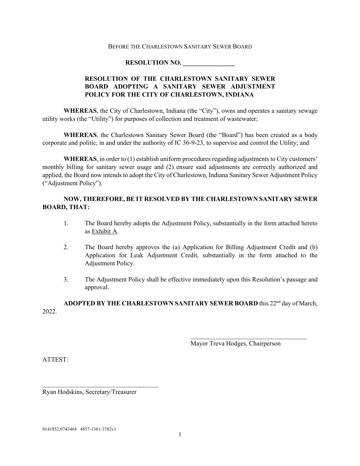#### BEFORE THE CHARLESTOWN SANITARY SEWER BOARD

#### **RESOLUTION NO.**

#### **RESOLUTION OF THE CHARLESTOWN SANITARY SEWER BOARD ADOPTING A SANITARY SEWER ADJUSTMENT POLICY FOR THE CITY OF CHARLESTOWN, INDIANA**

**WHEREAS**, the City of Charlestown, Indiana (the "City"), owns and operates a sanitary sewage utility works (the "Utility") for purposes of collection and treatment of wastewater;

**WHEREAS**, the Charlestown Sanitary Sewer Board (the "Board") has been created as a body corporate and politic, in and under the authority of IC 36-9-23, to supervise and control the Utility; and

**WHEREAS**, in order to (1) establish uniform procedures regarding adjustments to City customers' monthly billing for sanitary sewer usage and (2) ensure said adjustments are correctly authorized and applied, the Board now intends to adopt the City of Charlestown, Indiana Sanitary Sewer Adjustment Policy ("Adjustment Policy").

#### **NOW, THEREFORE, BE IT RESOLVED BY THE CHARLESTOWN SANITARY SEWER BOARD, THAT:**

- 1. The Board hereby adopts the Adjustment Policy, substantially in the form attached hereto as Exhibit A.
- 2. The Board hereby approves the (a) Application for Billing Adjustment Credit and (b) Application for Leak Adjustment Credit, substantially in the form attached to the Adjustment Policy.
- 3. The Adjustment Policy shall be effective immediately upon this Resolution's passage and approval.

ADOPTED BY THE CHARLESTOWN SANITARY SEWER BOARD this 22<sup>nd</sup> day of March, 2022.

Mayor Treva Hodges, Chairperson

ATTEST:

Ryan Hodskins, Secretary/Treasurer

\_\_\_\_\_\_\_\_\_\_\_\_\_\_\_\_\_\_\_\_\_\_\_\_\_\_\_\_\_\_\_\_\_\_\_\_